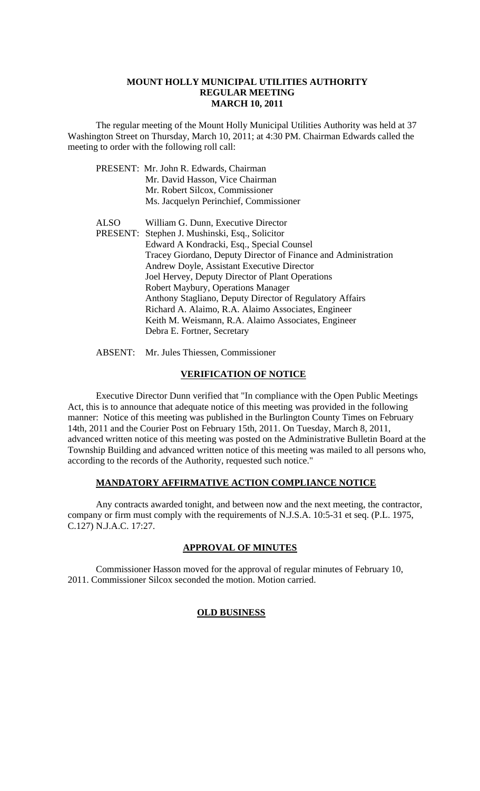## **MOUNT HOLLY MUNICIPAL UTILITIES AUTHORITY REGULAR MEETING MARCH 10, 2011**

 The regular meeting of the Mount Holly Municipal Utilities Authority was held at 37 Washington Street on Thursday, March 10, 2011; at 4:30 PM. Chairman Edwards called the meeting to order with the following roll call:

|             | PRESENT: Mr. John R. Edwards, Chairman                         |
|-------------|----------------------------------------------------------------|
|             | Mr. David Hasson, Vice Chairman                                |
|             | Mr. Robert Silcox, Commissioner                                |
|             | Ms. Jacquelyn Perinchief, Commissioner                         |
| <b>ALSO</b> | William G. Dunn, Executive Director                            |
|             | PRESENT: Stephen J. Mushinski, Esq., Solicitor                 |
|             | Edward A Kondracki, Esq., Special Counsel                      |
|             | Tracey Giordano, Deputy Director of Finance and Administration |
|             | Andrew Doyle, Assistant Executive Director                     |
|             | Joel Hervey, Deputy Director of Plant Operations               |
|             | Robert Maybury, Operations Manager                             |
|             | Anthony Stagliano, Deputy Director of Regulatory Affairs       |
|             | Richard A. Alaimo, R.A. Alaimo Associates, Engineer            |
|             | Keith M. Weismann, R.A. Alaimo Associates, Engineer            |
|             | Debra E. Fortner, Secretary                                    |

ABSENT: Mr. Jules Thiessen, Commissioner

## **VERIFICATION OF NOTICE**

 Executive Director Dunn verified that "In compliance with the Open Public Meetings Act, this is to announce that adequate notice of this meeting was provided in the following manner: Notice of this meeting was published in the Burlington County Times on February 14th, 2011 and the Courier Post on February 15th, 2011. On Tuesday, March 8, 2011, advanced written notice of this meeting was posted on the Administrative Bulletin Board at the Township Building and advanced written notice of this meeting was mailed to all persons who, according to the records of the Authority, requested such notice."

## **MANDATORY AFFIRMATIVE ACTION COMPLIANCE NOTICE**

 Any contracts awarded tonight, and between now and the next meeting, the contractor, company or firm must comply with the requirements of N.J.S.A. 10:5-31 et seq. (P.L. 1975, C.127) N.J.A.C. 17:27.

# **APPROVAL OF MINUTES**

Commissioner Hasson moved for the approval of regular minutes of February 10, 2011. Commissioner Silcox seconded the motion. Motion carried.

# **OLD BUSINESS**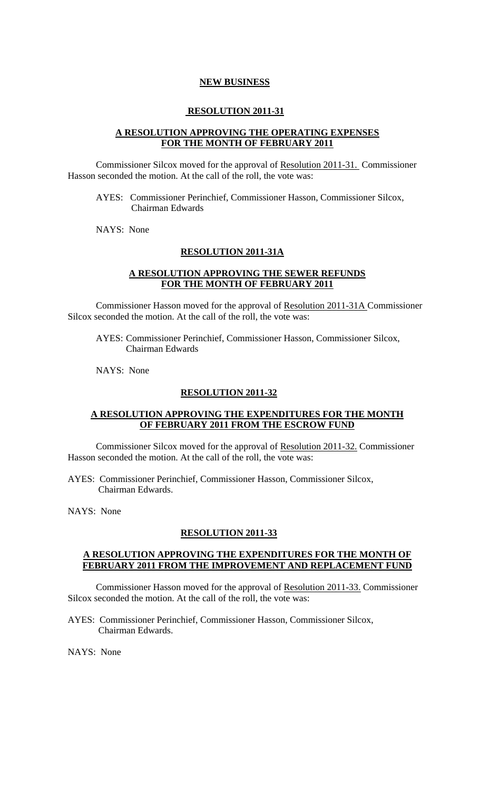### **NEW BUSINESS**

## **RESOLUTION 2011-31**

## **A RESOLUTION APPROVING THE OPERATING EXPENSES FOR THE MONTH OF FEBRUARY 2011**

Commissioner Silcox moved for the approval of Resolution 2011-31. Commissioner Hasson seconded the motion. At the call of the roll, the vote was:

AYES: Commissioner Perinchief, Commissioner Hasson, Commissioner Silcox, Chairman Edwards

NAYS: None

## **RESOLUTION 2011-31A**

## **A RESOLUTION APPROVING THE SEWER REFUNDS FOR THE MONTH OF FEBRUARY 2011**

Commissioner Hasson moved for the approval of Resolution 2011-31A Commissioner Silcox seconded the motion. At the call of the roll, the vote was:

AYES: Commissioner Perinchief, Commissioner Hasson, Commissioner Silcox, Chairman Edwards

NAYS: None

## **RESOLUTION 2011-32**

## **A RESOLUTION APPROVING THE EXPENDITURES FOR THE MONTH OF FEBRUARY 2011 FROM THE ESCROW FUND**

Commissioner Silcox moved for the approval of Resolution 2011-32. Commissioner Hasson seconded the motion. At the call of the roll, the vote was:

AYES: Commissioner Perinchief, Commissioner Hasson, Commissioner Silcox, Chairman Edwards.

NAYS: None

## **RESOLUTION 2011-33**

### **A RESOLUTION APPROVING THE EXPENDITURES FOR THE MONTH OF FEBRUARY 2011 FROM THE IMPROVEMENT AND REPLACEMENT FUND**

Commissioner Hasson moved for the approval of Resolution 2011-33. Commissioner Silcox seconded the motion. At the call of the roll, the vote was:

AYES: Commissioner Perinchief, Commissioner Hasson, Commissioner Silcox, Chairman Edwards.

NAYS: None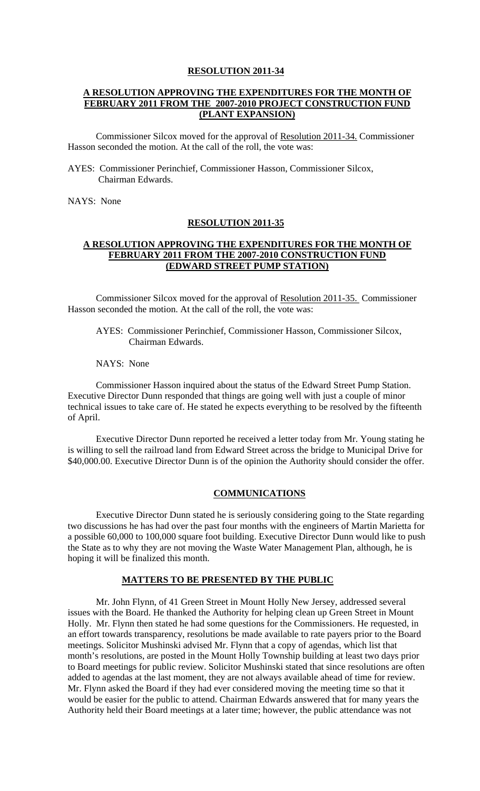#### **RESOLUTION 2011-34**

## **A RESOLUTION APPROVING THE EXPENDITURES FOR THE MONTH OF FEBRUARY 2011 FROM THE 2007-2010 PROJECT CONSTRUCTION FUND (PLANT EXPANSION)**

Commissioner Silcox moved for the approval of Resolution 2011-34. Commissioner Hasson seconded the motion. At the call of the roll, the vote was:

AYES: Commissioner Perinchief, Commissioner Hasson, Commissioner Silcox, Chairman Edwards.

NAYS: None

#### **RESOLUTION 2011-35**

## **A RESOLUTION APPROVING THE EXPENDITURES FOR THE MONTH OF FEBRUARY 2011 FROM THE 2007-2010 CONSTRUCTION FUND (EDWARD STREET PUMP STATION)**

Commissioner Silcox moved for the approval of Resolution 2011-35. Commissioner Hasson seconded the motion. At the call of the roll, the vote was:

AYES: Commissioner Perinchief, Commissioner Hasson, Commissioner Silcox, Chairman Edwards.

NAYS: None

 Commissioner Hasson inquired about the status of the Edward Street Pump Station. Executive Director Dunn responded that things are going well with just a couple of minor technical issues to take care of. He stated he expects everything to be resolved by the fifteenth of April.

 Executive Director Dunn reported he received a letter today from Mr. Young stating he is willing to sell the railroad land from Edward Street across the bridge to Municipal Drive for \$40,000.00. Executive Director Dunn is of the opinion the Authority should consider the offer.

#### **COMMUNICATIONS**

 Executive Director Dunn stated he is seriously considering going to the State regarding two discussions he has had over the past four months with the engineers of Martin Marietta for a possible 60,000 to 100,000 square foot building. Executive Director Dunn would like to push the State as to why they are not moving the Waste Water Management Plan, although, he is hoping it will be finalized this month.

### **MATTERS TO BE PRESENTED BY THE PUBLIC**

Mr. John Flynn, of 41 Green Street in Mount Holly New Jersey, addressed several issues with the Board. He thanked the Authority for helping clean up Green Street in Mount Holly. Mr. Flynn then stated he had some questions for the Commissioners. He requested, in an effort towards transparency, resolutions be made available to rate payers prior to the Board meetings. Solicitor Mushinski advised Mr. Flynn that a copy of agendas, which list that month's resolutions, are posted in the Mount Holly Township building at least two days prior to Board meetings for public review. Solicitor Mushinski stated that since resolutions are often added to agendas at the last moment, they are not always available ahead of time for review. Mr. Flynn asked the Board if they had ever considered moving the meeting time so that it would be easier for the public to attend. Chairman Edwards answered that for many years the Authority held their Board meetings at a later time; however, the public attendance was not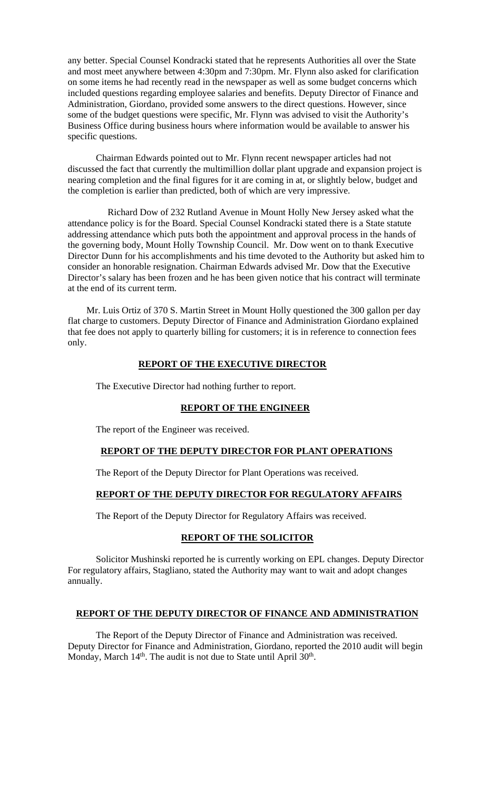any better. Special Counsel Kondracki stated that he represents Authorities all over the State and most meet anywhere between 4:30pm and 7:30pm. Mr. Flynn also asked for clarification on some items he had recently read in the newspaper as well as some budget concerns which included questions regarding employee salaries and benefits. Deputy Director of Finance and Administration, Giordano, provided some answers to the direct questions. However, since some of the budget questions were specific, Mr. Flynn was advised to visit the Authority's Business Office during business hours where information would be available to answer his specific questions.

Chairman Edwards pointed out to Mr. Flynn recent newspaper articles had not discussed the fact that currently the multimillion dollar plant upgrade and expansion project is nearing completion and the final figures for it are coming in at, or slightly below, budget and the completion is earlier than predicted, both of which are very impressive.

 Richard Dow of 232 Rutland Avenue in Mount Holly New Jersey asked what the attendance policy is for the Board. Special Counsel Kondracki stated there is a State statute addressing attendance which puts both the appointment and approval process in the hands of the governing body, Mount Holly Township Council. Mr. Dow went on to thank Executive Director Dunn for his accomplishments and his time devoted to the Authority but asked him to consider an honorable resignation. Chairman Edwards advised Mr. Dow that the Executive Director's salary has been frozen and he has been given notice that his contract will terminate at the end of its current term.

 Mr. Luis Ortiz of 370 S. Martin Street in Mount Holly questioned the 300 gallon per day flat charge to customers. Deputy Director of Finance and Administration Giordano explained that fee does not apply to quarterly billing for customers; it is in reference to connection fees only.

## **REPORT OF THE EXECUTIVE DIRECTOR**

The Executive Director had nothing further to report.

## **REPORT OF THE ENGINEER**

The report of the Engineer was received.

## **REPORT OF THE DEPUTY DIRECTOR FOR PLANT OPERATIONS**

The Report of the Deputy Director for Plant Operations was received.

### **REPORT OF THE DEPUTY DIRECTOR FOR REGULATORY AFFAIRS**

The Report of the Deputy Director for Regulatory Affairs was received.

### **REPORT OF THE SOLICITOR**

 Solicitor Mushinski reported he is currently working on EPL changes. Deputy Director For regulatory affairs, Stagliano, stated the Authority may want to wait and adopt changes annually.

### **REPORT OF THE DEPUTY DIRECTOR OF FINANCE AND ADMINISTRATION**

The Report of the Deputy Director of Finance and Administration was received. Deputy Director for Finance and Administration, Giordano, reported the 2010 audit will begin Monday, March 14<sup>th</sup>. The audit is not due to State until April 30<sup>th</sup>.